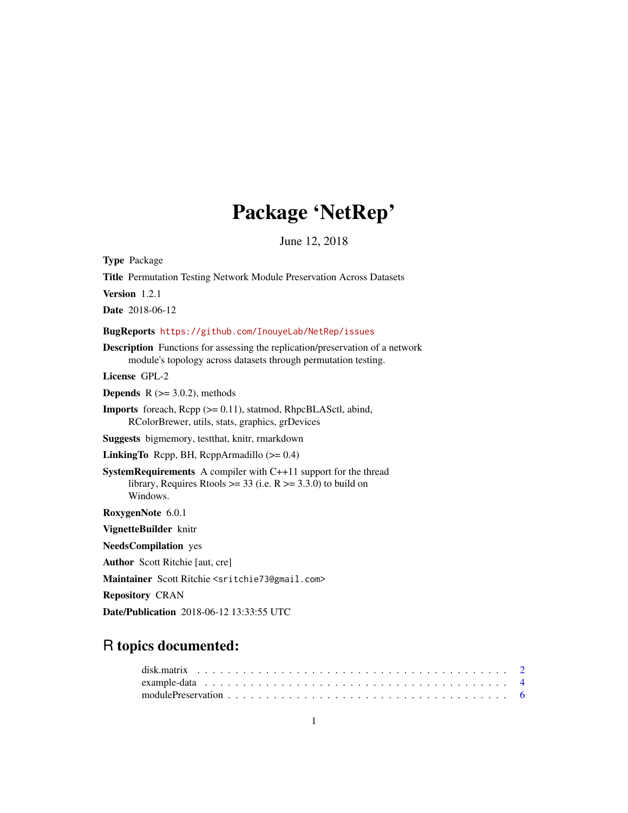# Package 'NetRep'

June 12, 2018

<span id="page-0-0"></span>Type Package

Title Permutation Testing Network Module Preservation Across Datasets Version 1.2.1 Date 2018-06-12 BugReports <https://github.com/InouyeLab/NetRep/issues> Description Functions for assessing the replication/preservation of a network module's topology across datasets through permutation testing. License GPL-2 **Depends** R  $(>= 3.0.2)$ , methods Imports foreach, Rcpp (>= 0.11), statmod, RhpcBLASctl, abind, RColorBrewer, utils, stats, graphics, grDevices Suggests bigmemory, testthat, knitr, rmarkdown **LinkingTo** Rcpp, BH, RcppArmadillo  $(>= 0.4)$ SystemRequirements A compiler with C++11 support for the thread library, Requires Rtools  $\ge$  = 33 (i.e. R  $\ge$  = 3.3.0) to build on Windows. RoxygenNote 6.0.1 VignetteBuilder knitr NeedsCompilation yes Author Scott Ritchie [aut, cre] Maintainer Scott Ritchie <sritchie73@gmail.com> Repository CRAN Date/Publication 2018-06-12 13:33:55 UTC

## R topics documented: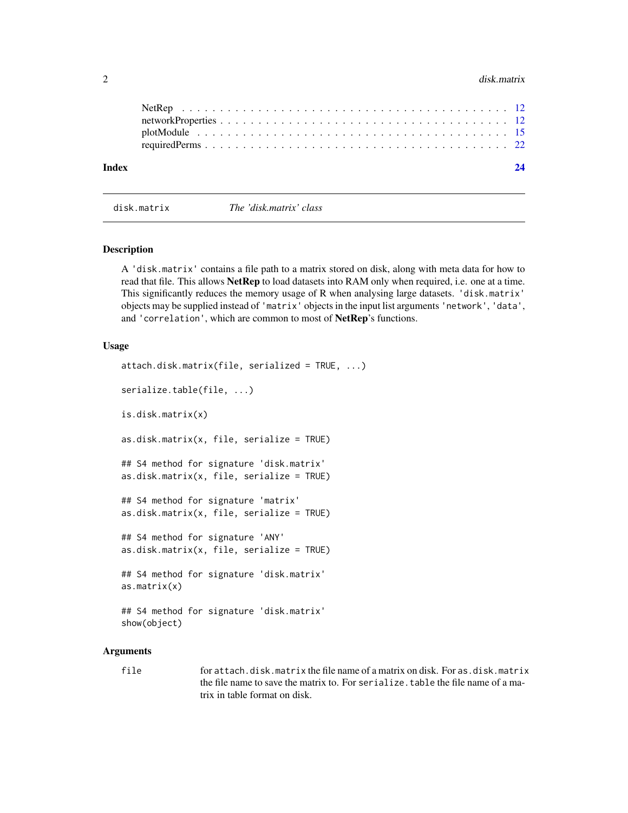#### <span id="page-1-0"></span>2 disk.matrix

| Index | 24 |  |
|-------|----|--|

disk.matrix *The 'disk.matrix' class*

<span id="page-1-1"></span>

| disk.matrix |  |
|-------------|--|
|             |  |

#### Description

A 'disk.matrix' contains a file path to a matrix stored on disk, along with meta data for how to read that file. This allows **NetRep** to load datasets into RAM only when required, i.e. one at a time. This significantly reduces the memory usage of R when analysing large datasets. 'disk.matrix' objects may be supplied instead of 'matrix' objects in the input list arguments 'network', 'data', and 'correlation', which are common to most of NetRep's functions.

#### Usage

```
attach.disk.matrix(file, serialized = TRUE, ...)
serialize.table(file, ...)
is.disk.matrix(x)
as.disk.matrix(x, file, serialize = TRUE)
## S4 method for signature 'disk.matrix'
as.disk.math(x, file, serialize = TRUE)## S4 method for signature 'matrix'
as.disk.matrix(x, file, serialize = TRUE)
## S4 method for signature 'ANY'
as.disk.math(x, file, serialize = TRUE)## S4 method for signature 'disk.matrix'
as.matrix(x)
## S4 method for signature 'disk.matrix'
show(object)
```
#### Arguments

file for attach.disk.matrix the file name of a matrix on disk. For as.disk.matrix the file name to save the matrix to. For serialize.table the file name of a matrix in table format on disk.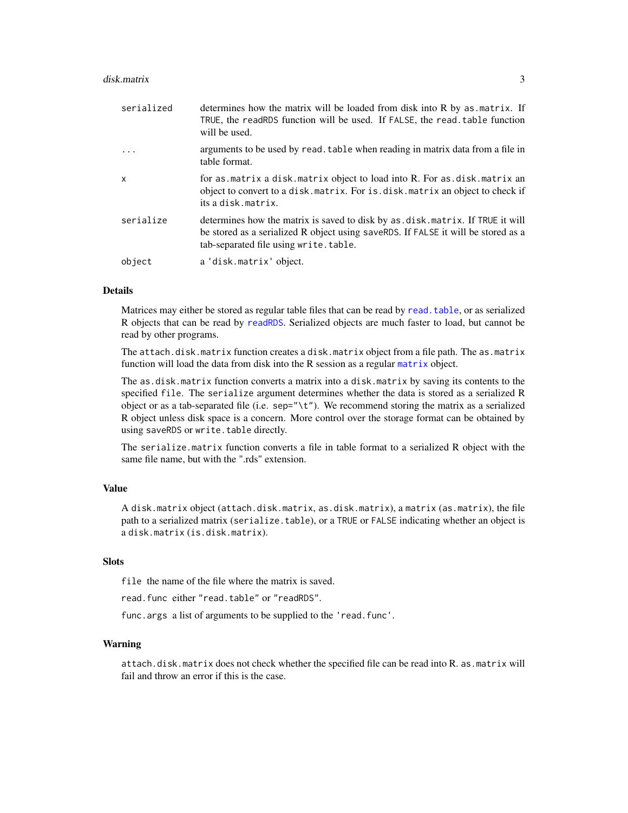<span id="page-2-0"></span>

| serialized | determines how the matrix will be loaded from disk into R by as matrix. If<br>TRUE, the readRDS function will be used. If FALSE, the read. table function<br>will be used.                                     |
|------------|----------------------------------------------------------------------------------------------------------------------------------------------------------------------------------------------------------------|
| $\cdot$    | arguments to be used by read. table when reading in matrix data from a file in<br>table format.                                                                                                                |
| X          | for as matrix a disk matrix object to load into R. For as . disk . matrix an<br>object to convert to a disk. matrix. For is. disk. matrix an object to check if<br>its a disk.matrix.                          |
| serialize  | determines how the matrix is saved to disk by as . disk. matrix. If TRUE it will<br>be stored as a serialized R object using saveRDS. If FALSE it will be stored as a<br>tab-separated file using write.table. |
| object     | a 'disk.matrix' object.                                                                                                                                                                                        |

#### Details

Matrices may either be stored as regular table files that can be read by [read.table](#page-0-0), or as serialized R objects that can be read by [readRDS](#page-0-0). Serialized objects are much faster to load, but cannot be read by other programs.

The attach.disk.matrix function creates a disk.matrix object from a file path. The as.matrix function will load the data from disk into the R session as a regular [matrix](#page-0-0) object.

The as.disk.matrix function converts a matrix into a disk.matrix by saving its contents to the specified file. The serialize argument determines whether the data is stored as a serialized R object or as a tab-separated file (i.e.  $sep="\rtimes t$ "). We recommend storing the matrix as a serialized R object unless disk space is a concern. More control over the storage format can be obtained by using saveRDS or write.table directly.

The serialize.matrix function converts a file in table format to a serialized R object with the same file name, but with the ".rds" extension.

#### Value

A disk.matrix object (attach.disk.matrix, as.disk.matrix), a matrix (as.matrix), the file path to a serialized matrix (serialize.table), or a TRUE or FALSE indicating whether an object is a disk.matrix (is.disk.matrix).

#### **Slots**

file the name of the file where the matrix is saved.

read.func either "read.table" or "readRDS".

func.args a list of arguments to be supplied to the 'read.func'.

#### Warning

attach.disk.matrix does not check whether the specified file can be read into R. as.matrix will fail and throw an error if this is the case.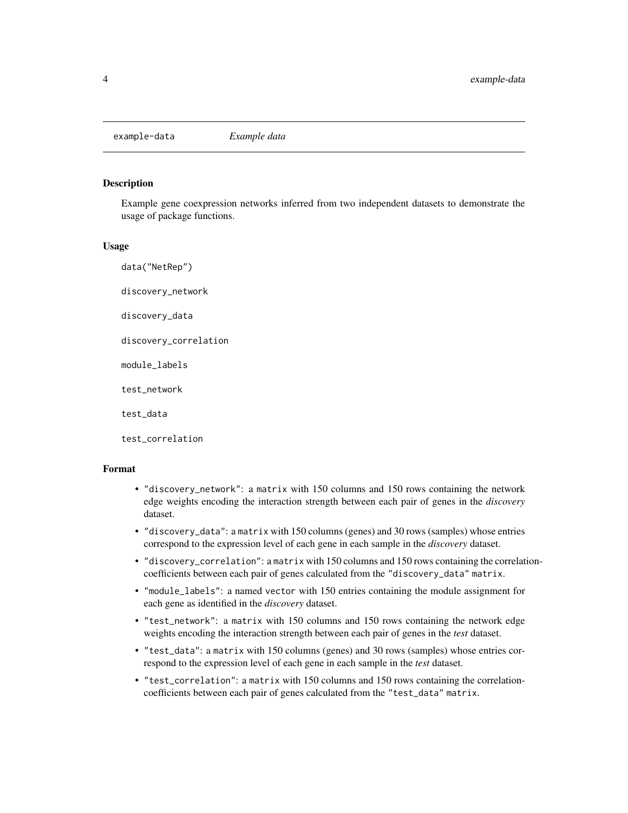<span id="page-3-0"></span>example-data *Example data*

#### Description

Example gene coexpression networks inferred from two independent datasets to demonstrate the usage of package functions.

#### Usage

data("NetRep") discovery\_network discovery\_data discovery\_correlation module\_labels test\_network test\_data test\_correlation

#### Format

- "discovery\_network": a matrix with 150 columns and 150 rows containing the network edge weights encoding the interaction strength between each pair of genes in the *discovery* dataset.
- "discovery\_data": a matrix with 150 columns (genes) and 30 rows (samples) whose entries correspond to the expression level of each gene in each sample in the *discovery* dataset.
- "discovery\_correlation": a matrix with 150 columns and 150 rows containing the correlationcoefficients between each pair of genes calculated from the "discovery\_data" matrix.
- "module\_labels": a named vector with 150 entries containing the module assignment for each gene as identified in the *discovery* dataset.
- "test\_network": a matrix with 150 columns and 150 rows containing the network edge weights encoding the interaction strength between each pair of genes in the *test* dataset.
- "test\_data": a matrix with 150 columns (genes) and 30 rows (samples) whose entries correspond to the expression level of each gene in each sample in the *test* dataset.
- "test\_correlation": a matrix with 150 columns and 150 rows containing the correlationcoefficients between each pair of genes calculated from the "test\_data" matrix.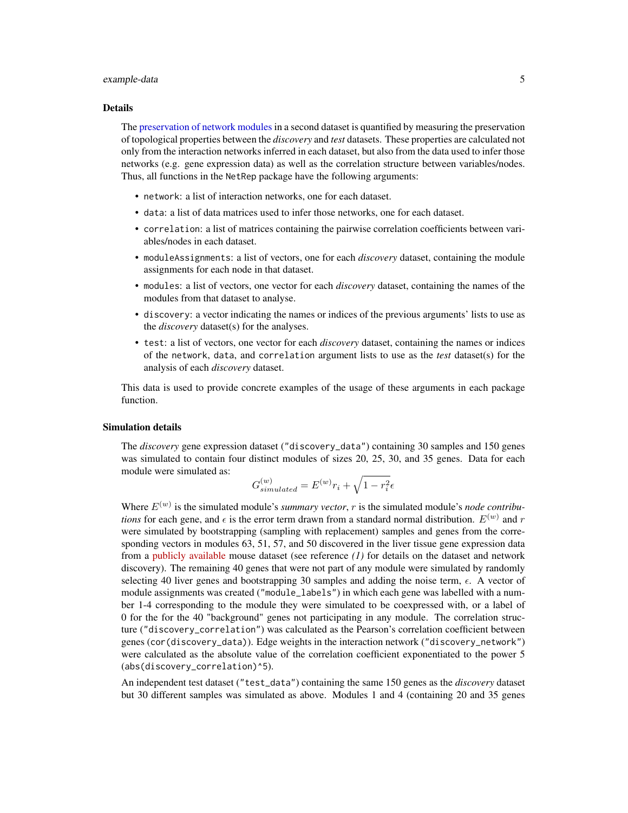#### <span id="page-4-0"></span>example-data 5

#### Details

The [preservation of network modules](#page-5-1) in a second dataset is quantified by measuring the preservation of topological properties between the *discovery* and *test* datasets. These properties are calculated not only from the interaction networks inferred in each dataset, but also from the data used to infer those networks (e.g. gene expression data) as well as the correlation structure between variables/nodes. Thus, all functions in the NetRep package have the following arguments:

- network: a list of interaction networks, one for each dataset.
- data: a list of data matrices used to infer those networks, one for each dataset.
- correlation: a list of matrices containing the pairwise correlation coefficients between variables/nodes in each dataset.
- moduleAssignments: a list of vectors, one for each *discovery* dataset, containing the module assignments for each node in that dataset.
- modules: a list of vectors, one vector for each *discovery* dataset, containing the names of the modules from that dataset to analyse.
- discovery: a vector indicating the names or indices of the previous arguments' lists to use as the *discovery* dataset(s) for the analyses.
- test: a list of vectors, one vector for each *discovery* dataset, containing the names or indices of the network, data, and correlation argument lists to use as the *test* dataset(s) for the analysis of each *discovery* dataset.

This data is used to provide concrete examples of the usage of these arguments in each package function.

#### Simulation details

The *discovery* gene expression dataset ("discovery\_data") containing 30 samples and 150 genes was simulated to contain four distinct modules of sizes 20, 25, 30, and 35 genes. Data for each module were simulated as:

$$
G_{simulated}^{(w)} = E^{(w)}r_i + \sqrt{1 - r_i^2} \epsilon
$$

Where  $E^{(w)}$  is the simulated module's *summary vector*, r is the simulated module's *node contributions* for each gene, and  $\epsilon$  is the error term drawn from a standard normal distribution.  $E^{(w)}$  and r were simulated by bootstrapping (sampling with replacement) samples and genes from the corresponding vectors in modules 63, 51, 57, and 50 discovered in the liver tissue gene expression data from a [publicly available](http://www.ncbi.nlm.nih.gov/geo/query/acc.cgi?acc=GSE2814) mouse dataset (see reference *(1)* for details on the dataset and network discovery). The remaining 40 genes that were not part of any module were simulated by randomly selecting 40 liver genes and bootstrapping 30 samples and adding the noise term,  $\epsilon$ . A vector of module assignments was created ("module\_labels") in which each gene was labelled with a number 1-4 corresponding to the module they were simulated to be coexpressed with, or a label of 0 for the for the 40 "background" genes not participating in any module. The correlation structure ("discovery\_correlation") was calculated as the Pearson's correlation coefficient between genes (cor(discovery\_data)). Edge weights in the interaction network ("discovery\_network") were calculated as the absolute value of the correlation coefficient exponentiated to the power 5 (abs(discovery\_correlation)^5).

An independent test dataset ("test\_data") containing the same 150 genes as the *discovery* dataset but 30 different samples was simulated as above. Modules 1 and 4 (containing 20 and 35 genes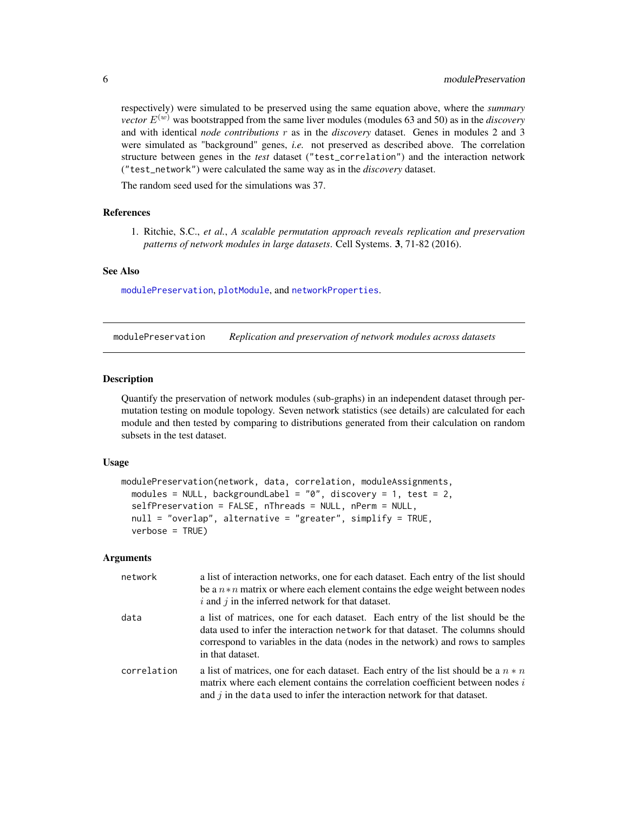respectively) were simulated to be preserved using the same equation above, where the *summary vector*  $E^{(w)}$  was bootstrapped from the same liver modules (modules 63 and 50) as in the *discovery* and with identical *node contributions* r as in the *discovery* dataset. Genes in modules 2 and 3 were simulated as "background" genes, *i.e.* not preserved as described above. The correlation structure between genes in the *test* dataset ("test\_correlation") and the interaction network ("test\_network") were calculated the same way as in the *discovery* dataset.

The random seed used for the simulations was 37.

#### **References**

1. Ritchie, S.C., *et al.*, *A scalable permutation approach reveals replication and preservation patterns of network modules in large datasets*. Cell Systems. 3, 71-82 (2016).

#### See Also

[modulePreservation](#page-5-1), [plotModule](#page-14-1), and [networkProperties](#page-11-1).

<span id="page-5-1"></span>modulePreservation *Replication and preservation of network modules across datasets*

#### **Description**

Quantify the preservation of network modules (sub-graphs) in an independent dataset through permutation testing on module topology. Seven network statistics (see details) are calculated for each module and then tested by comparing to distributions generated from their calculation on random subsets in the test dataset.

#### Usage

```
modulePreservation(network, data, correlation, moduleAssignments,
 modules = NULL, backgroundLabel = "0", discovery = 1, test = 2,
  selfPreservation = FALSE, nThreads = NULL, nPerm = NULL,
  null = "overlap", alternative = "greater", simplify = TRUE,
  verbose = TRUE)
```
#### Arguments

| network     | a list of interaction networks, one for each dataset. Each entry of the list should<br>be a $n * n$ matrix or where each element contains the edge weight between nodes<br>$i$ and $j$ in the inferred network for that dataset.                                        |
|-------------|-------------------------------------------------------------------------------------------------------------------------------------------------------------------------------------------------------------------------------------------------------------------------|
| data        | a list of matrices, one for each dataset. Each entry of the list should be the<br>data used to infer the interaction network for that dataset. The columns should<br>correspond to variables in the data (nodes in the network) and rows to samples<br>in that dataset. |
| correlation | a list of matrices, one for each dataset. Each entry of the list should be a $n * n$<br>matrix where each element contains the correlation coefficient between nodes $i$<br>and $j$ in the data used to infer the interaction network for that dataset.                 |

<span id="page-5-0"></span>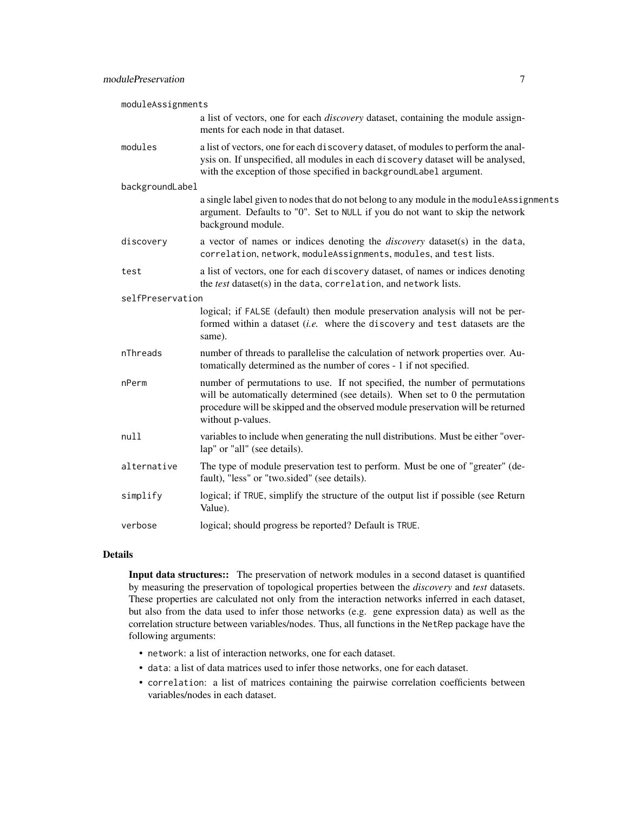| moduleAssignments |                                                                                                                                                                                                                                                                      |
|-------------------|----------------------------------------------------------------------------------------------------------------------------------------------------------------------------------------------------------------------------------------------------------------------|
|                   | a list of vectors, one for each <i>discovery</i> dataset, containing the module assign-<br>ments for each node in that dataset.                                                                                                                                      |
| modules           | a list of vectors, one for each discovery dataset, of modules to perform the anal-<br>ysis on. If unspecified, all modules in each discovery dataset will be analysed,<br>with the exception of those specified in backgroundLabel argument.                         |
| backgroundLabel   |                                                                                                                                                                                                                                                                      |
|                   | a single label given to nodes that do not belong to any module in the moduleAssignments<br>argument. Defaults to "0". Set to NULL if you do not want to skip the network<br>background module.                                                                       |
| discovery         | a vector of names or indices denoting the <i>discovery</i> dataset(s) in the data,<br>correlation, network, moduleAssignments, modules, and test lists.                                                                                                              |
| test              | a list of vectors, one for each discovery dataset, of names or indices denoting<br>the test dataset(s) in the data, correlation, and network lists.                                                                                                                  |
| selfPreservation  |                                                                                                                                                                                                                                                                      |
|                   | logical; if FALSE (default) then module preservation analysis will not be per-<br>formed within a dataset (i.e. where the discovery and test datasets are the<br>same).                                                                                              |
| nThreads          | number of threads to parallelise the calculation of network properties over. Au-<br>tomatically determined as the number of cores - 1 if not specified.                                                                                                              |
| nPerm             | number of permutations to use. If not specified, the number of permutations<br>will be automatically determined (see details). When set to 0 the permutation<br>procedure will be skipped and the observed module preservation will be returned<br>without p-values. |
| null              | variables to include when generating the null distributions. Must be either "over-<br>lap" or "all" (see details).                                                                                                                                                   |
| alternative       | The type of module preservation test to perform. Must be one of "greater" (de-<br>fault), "less" or "two.sided" (see details).                                                                                                                                       |
| simplify          | logical; if TRUE, simplify the structure of the output list if possible (see Return<br>Value).                                                                                                                                                                       |
| verbose           | logical; should progress be reported? Default is TRUE.                                                                                                                                                                                                               |

#### Details

Input data structures:: The preservation of network modules in a second dataset is quantified by measuring the preservation of topological properties between the *discovery* and *test* datasets. These properties are calculated not only from the interaction networks inferred in each dataset, but also from the data used to infer those networks (e.g. gene expression data) as well as the correlation structure between variables/nodes. Thus, all functions in the NetRep package have the following arguments:

- network: a list of interaction networks, one for each dataset.
- data: a list of data matrices used to infer those networks, one for each dataset.
- correlation: a list of matrices containing the pairwise correlation coefficients between variables/nodes in each dataset.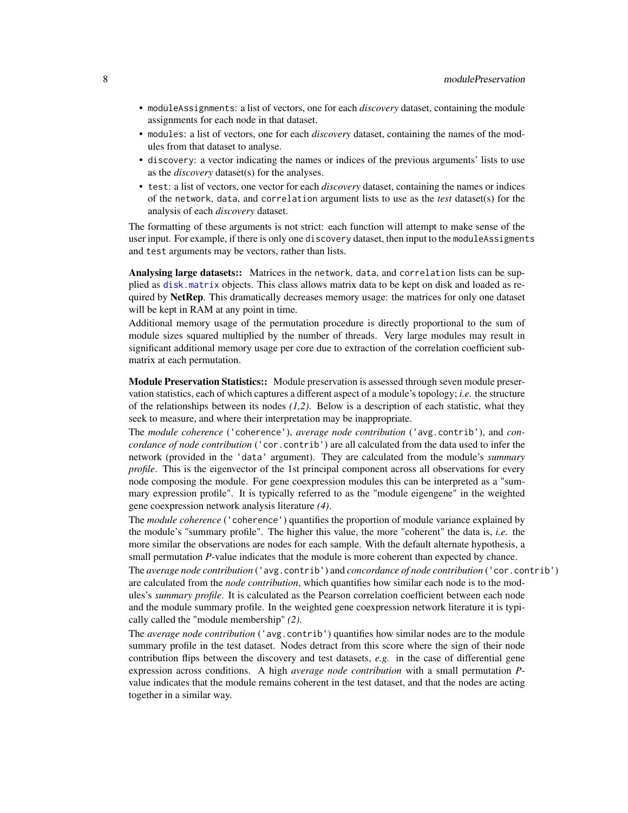- <span id="page-7-0"></span>• moduleAssignments: a list of vectors, one for each *discovery* dataset, containing the module assignments for each node in that dataset.
- modules: a list of vectors, one for each *discovery* dataset, containing the names of the modules from that dataset to analyse.
- discovery: a vector indicating the names or indices of the previous arguments' lists to use as the *discovery* dataset(s) for the analyses.
- test: a list of vectors, one vector for each *discovery* dataset, containing the names or indices of the network, data, and correlation argument lists to use as the *test* dataset(s) for the analysis of each *discovery* dataset.

The formatting of these arguments is not strict: each function will attempt to make sense of the user input. For example, if there is only one discovery dataset, then input to the moduleAssigments and test arguments may be vectors, rather than lists.

Analysing large datasets:: Matrices in the network, data, and correlation lists can be supplied as [disk.matrix](#page-1-1) objects. This class allows matrix data to be kept on disk and loaded as required by NetRep. This dramatically decreases memory usage: the matrices for only one dataset will be kept in RAM at any point in time.

Additional memory usage of the permutation procedure is directly proportional to the sum of module sizes squared multiplied by the number of threads. Very large modules may result in significant additional memory usage per core due to extraction of the correlation coefficient submatrix at each permutation.

Module Preservation Statistics:: Module preservation is assessed through seven module preservation statistics, each of which captures a different aspect of a module's topology; *i.e.* the structure of the relationships between its nodes *(1,2)*. Below is a description of each statistic, what they seek to measure, and where their interpretation may be inappropriate.

The *module coherence* ('coherence'), *average node contribution* ('avg.contrib'), and *concordance of node contribution* ('cor.contrib') are all calculated from the data used to infer the network (provided in the 'data' argument). They are calculated from the module's *summary profile*. This is the eigenvector of the 1st principal component across all observations for every node composing the module. For gene coexpression modules this can be interpreted as a "summary expression profile". It is typically referred to as the "module eigengene" in the weighted gene coexpression network analysis literature *(4)*.

The *module coherence* ('coherence') quantifies the proportion of module variance explained by the module's "summary profile". The higher this value, the more "coherent" the data is, *i.e.* the more similar the observations are nodes for each sample. With the default alternate hypothesis, a small permutation *P*-value indicates that the module is more coherent than expected by chance.

The *average node contribution* ('avg.contrib') and *concordance of node contribution* ('cor.contrib') are calculated from the *node contribution*, which quantifies how similar each node is to the modules's *summary profile*. It is calculated as the Pearson correlation coefficient between each node and the module summary profile. In the weighted gene coexpression network literature it is typically called the "module membership" *(2)*.

The *average node contribution* ('avg.contrib') quantifies how similar nodes are to the module summary profile in the test dataset. Nodes detract from this score where the sign of their node contribution flips between the discovery and test datasets, *e.g.* in the case of differential gene expression across conditions. A high *average node contribution* with a small permutation *P*value indicates that the module remains coherent in the test dataset, and that the nodes are acting together in a similar way.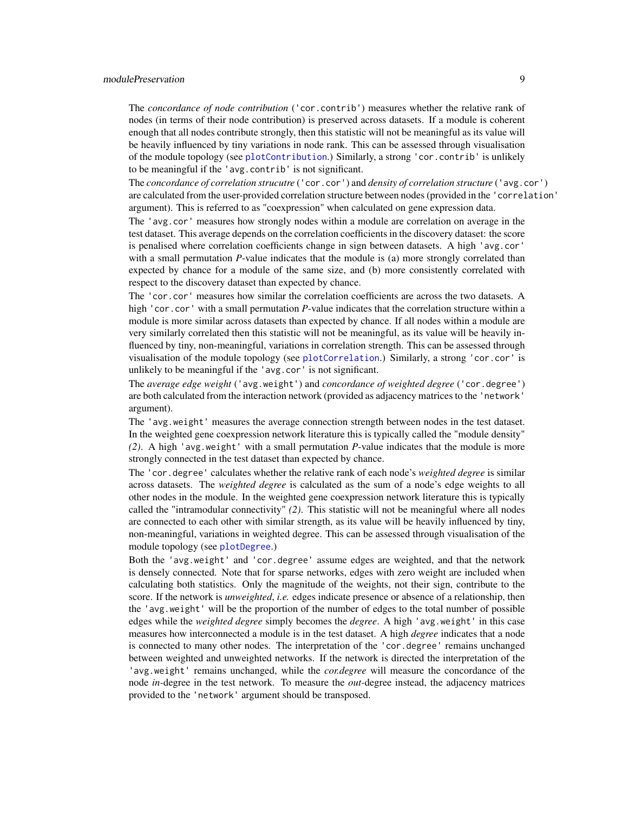#### <span id="page-8-0"></span>modulePreservation 9

The *concordance of node contribution* ('cor.contrib') measures whether the relative rank of nodes (in terms of their node contribution) is preserved across datasets. If a module is coherent enough that all nodes contribute strongly, then this statistic will not be meaningful as its value will be heavily influenced by tiny variations in node rank. This can be assessed through visualisation of the module topology (see [plotContribution](#page-0-0).) Similarly, a strong 'cor.contrib' is unlikely to be meaningful if the 'avg.contrib' is not significant.

The *concordance of correlation strucutre* ('cor.cor') and *density of correlation structure* ('avg.cor') are calculated from the user-provided correlation structure between nodes (provided in the 'correlation' argument). This is referred to as "coexpression" when calculated on gene expression data.

The 'avg.cor' measures how strongly nodes within a module are correlation on average in the test dataset. This average depends on the correlation coefficients in the discovery dataset: the score is penalised where correlation coefficients change in sign between datasets. A high 'avg.cor' with a small permutation *P*-value indicates that the module is (a) more strongly correlated than expected by chance for a module of the same size, and (b) more consistently correlated with respect to the discovery dataset than expected by chance.

The 'cor.cor' measures how similar the correlation coefficients are across the two datasets. A high 'cor.cor' with a small permutation *P*-value indicates that the correlation structure within a module is more similar across datasets than expected by chance. If all nodes within a module are very similarly correlated then this statistic will not be meaningful, as its value will be heavily influenced by tiny, non-meaningful, variations in correlation strength. This can be assessed through visualisation of the module topology (see [plotCorrelation](#page-0-0).) Similarly, a strong 'cor.cor' is unlikely to be meaningful if the 'avg.cor' is not significant.

The *average edge weight* ('avg.weight') and *concordance of weighted degree* ('cor.degree') are both calculated from the interaction network (provided as adjacency matrices to the 'network' argument).

The 'avg.weight' measures the average connection strength between nodes in the test dataset. In the weighted gene coexpression network literature this is typically called the "module density" *(2)*. A high 'avg.weight' with a small permutation *P*-value indicates that the module is more strongly connected in the test dataset than expected by chance.

The 'cor.degree' calculates whether the relative rank of each node's *weighted degree* is similar across datasets. The *weighted degree* is calculated as the sum of a node's edge weights to all other nodes in the module. In the weighted gene coexpression network literature this is typically called the "intramodular connectivity" *(2)*. This statistic will not be meaningful where all nodes are connected to each other with similar strength, as its value will be heavily influenced by tiny, non-meaningful, variations in weighted degree. This can be assessed through visualisation of the module topology (see [plotDegree](#page-0-0).)

Both the 'avg.weight' and 'cor.degree' assume edges are weighted, and that the network is densely connected. Note that for sparse networks, edges with zero weight are included when calculating both statistics. Only the magnitude of the weights, not their sign, contribute to the score. If the network is *unweighted*, *i.e.* edges indicate presence or absence of a relationship, then the 'avg.weight' will be the proportion of the number of edges to the total number of possible edges while the *weighted degree* simply becomes the *degree*. A high 'avg.weight' in this case measures how interconnected a module is in the test dataset. A high *degree* indicates that a node is connected to many other nodes. The interpretation of the 'cor.degree' remains unchanged between weighted and unweighted networks. If the network is directed the interpretation of the 'avg.weight' remains unchanged, while the *cor.degree* will measure the concordance of the node *in-*degree in the test network. To measure the *out-*degree instead, the adjacency matrices provided to the 'network' argument should be transposed.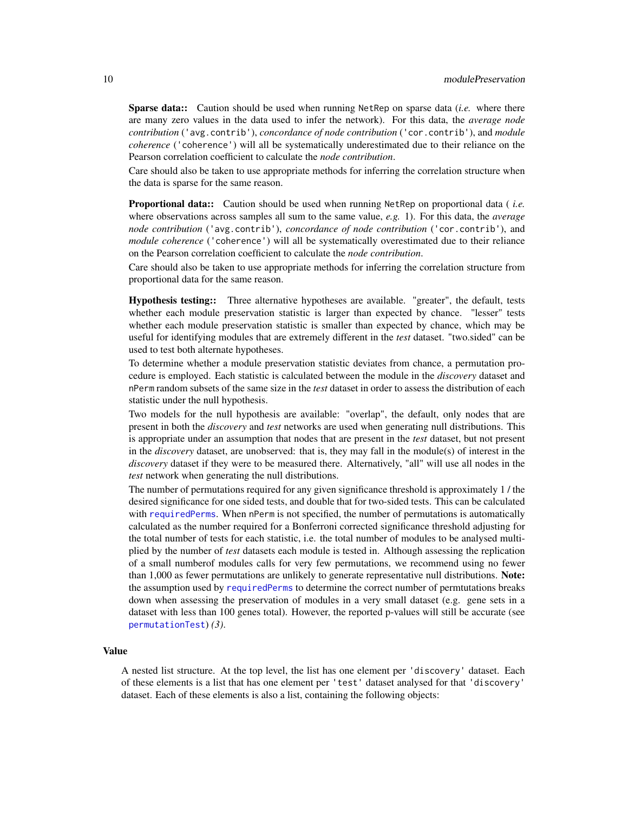<span id="page-9-0"></span>Sparse data:: Caution should be used when running NetRep on sparse data (*i.e.* where there are many zero values in the data used to infer the network). For this data, the *average node contribution* ('avg.contrib'), *concordance of node contribution* ('cor.contrib'), and *module coherence* ('coherence') will all be systematically underestimated due to their reliance on the Pearson correlation coefficient to calculate the *node contribution*.

Care should also be taken to use appropriate methods for inferring the correlation structure when the data is sparse for the same reason.

Proportional data:: Caution should be used when running NetRep on proportional data ( *i.e.* where observations across samples all sum to the same value, *e.g.* 1). For this data, the *average node contribution* ('avg.contrib'), *concordance of node contribution* ('cor.contrib'), and *module coherence* ('coherence') will all be systematically overestimated due to their reliance on the Pearson correlation coefficient to calculate the *node contribution*.

Care should also be taken to use appropriate methods for inferring the correlation structure from proportional data for the same reason.

Hypothesis testing:: Three alternative hypotheses are available. "greater", the default, tests whether each module preservation statistic is larger than expected by chance. "lesser" tests whether each module preservation statistic is smaller than expected by chance, which may be useful for identifying modules that are extremely different in the *test* dataset. "two.sided" can be used to test both alternate hypotheses.

To determine whether a module preservation statistic deviates from chance, a permutation procedure is employed. Each statistic is calculated between the module in the *discovery* dataset and nPerm random subsets of the same size in the *test* dataset in order to assess the distribution of each statistic under the null hypothesis.

Two models for the null hypothesis are available: "overlap", the default, only nodes that are present in both the *discovery* and *test* networks are used when generating null distributions. This is appropriate under an assumption that nodes that are present in the *test* dataset, but not present in the *discovery* dataset, are unobserved: that is, they may fall in the module(s) of interest in the *discovery* dataset if they were to be measured there. Alternatively, "all" will use all nodes in the *test* network when generating the null distributions.

The number of permutations required for any given significance threshold is approximately 1 / the desired significance for one sided tests, and double that for two-sided tests. This can be calculated with [requiredPerms](#page-21-1). When nPerm is not specified, the number of permutations is automatically calculated as the number required for a Bonferroni corrected significance threshold adjusting for the total number of tests for each statistic, i.e. the total number of modules to be analysed multiplied by the number of *test* datasets each module is tested in. Although assessing the replication of a small numberof modules calls for very few permutations, we recommend using no fewer than 1,000 as fewer permutations are unlikely to generate representative null distributions. Note: the assumption used by [requiredPerms](#page-21-1) to determine the correct number of permtutations breaks down when assessing the preservation of modules in a very small dataset (e.g. gene sets in a dataset with less than 100 genes total). However, the reported p-values will still be accurate (see [permutationTest](#page-0-0)) *(3)*.

#### Value

A nested list structure. At the top level, the list has one element per 'discovery' dataset. Each of these elements is a list that has one element per 'test' dataset analysed for that 'discovery' dataset. Each of these elements is also a list, containing the following objects: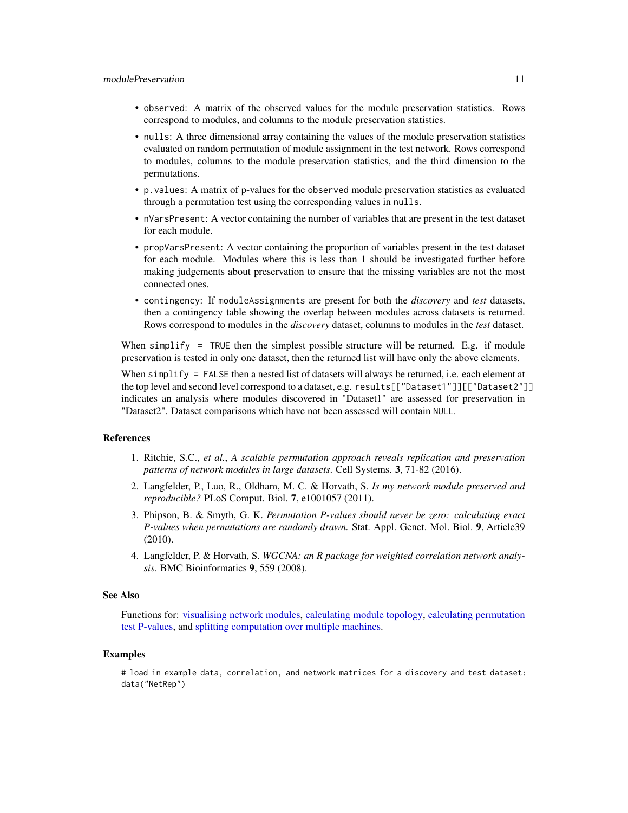- <span id="page-10-0"></span>• observed: A matrix of the observed values for the module preservation statistics. Rows correspond to modules, and columns to the module preservation statistics.
- nulls: A three dimensional array containing the values of the module preservation statistics evaluated on random permutation of module assignment in the test network. Rows correspond to modules, columns to the module preservation statistics, and the third dimension to the permutations.
- p.values: A matrix of p-values for the observed module preservation statistics as evaluated through a permutation test using the corresponding values in nulls.
- nVarsPresent: A vector containing the number of variables that are present in the test dataset for each module.
- propVarsPresent: A vector containing the proportion of variables present in the test dataset for each module. Modules where this is less than 1 should be investigated further before making judgements about preservation to ensure that the missing variables are not the most connected ones.
- contingency: If moduleAssignments are present for both the *discovery* and *test* datasets, then a contingency table showing the overlap between modules across datasets is returned. Rows correspond to modules in the *discovery* dataset, columns to modules in the *test* dataset.

When simplify  $=$  TRUE then the simplest possible structure will be returned. E.g. if module preservation is tested in only one dataset, then the returned list will have only the above elements.

When simplify = FALSE then a nested list of datasets will always be returned, i.e. each element at the top level and second level correspond to a dataset, e.g. results[["Dataset1"]][["Dataset2"]] indicates an analysis where modules discovered in "Dataset1" are assessed for preservation in "Dataset2". Dataset comparisons which have not been assessed will contain NULL.

#### References

- 1. Ritchie, S.C., *et al.*, *A scalable permutation approach reveals replication and preservation patterns of network modules in large datasets*. Cell Systems. 3, 71-82 (2016).
- 2. Langfelder, P., Luo, R., Oldham, M. C. & Horvath, S. *Is my network module preserved and reproducible?* PLoS Comput. Biol. 7, e1001057 (2011).
- 3. Phipson, B. & Smyth, G. K. *Permutation P-values should never be zero: calculating exact P-values when permutations are randomly drawn.* Stat. Appl. Genet. Mol. Biol. 9, Article39 (2010).
- 4. Langfelder, P. & Horvath, S. *WGCNA: an R package for weighted correlation network analysis.* BMC Bioinformatics 9, 559 (2008).

#### See Also

Functions for: [visualising network modules,](#page-14-1) [calculating module topology,](#page-11-1) [calculating permutation](#page-0-0) [test P-values,](#page-0-0) and [splitting computation over multiple machines.](#page-0-0)

#### Examples

# load in example data, correlation, and network matrices for a discovery and test dataset: data("NetRep")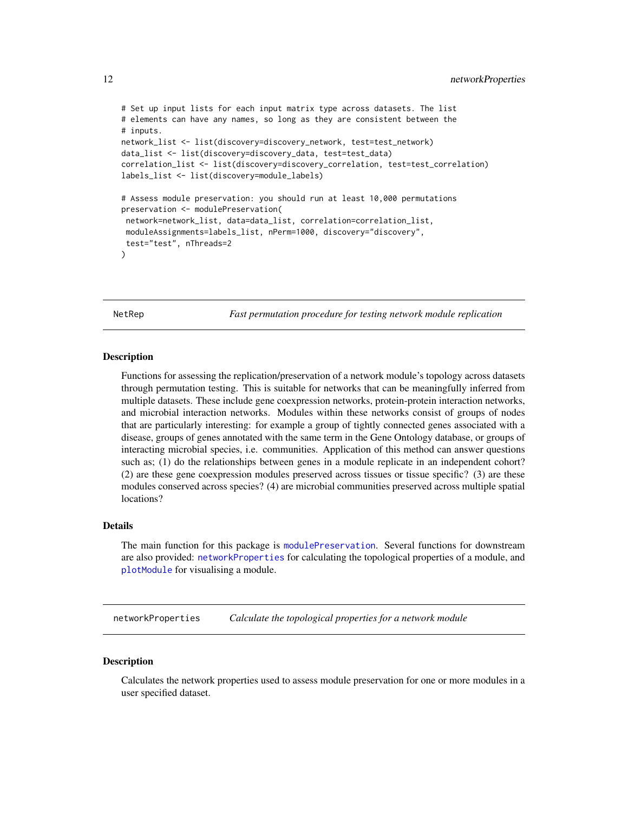```
# Set up input lists for each input matrix type across datasets. The list
# elements can have any names, so long as they are consistent between the
# inputs.
network_list <- list(discovery=discovery_network, test=test_network)
data_list <- list(discovery=discovery_data, test=test_data)
correlation_list <- list(discovery=discovery_correlation, test=test_correlation)
labels_list <- list(discovery=module_labels)
# Assess module preservation: you should run at least 10,000 permutations
preservation <- modulePreservation(
network=network_list, data=data_list, correlation=correlation_list,
moduleAssignments=labels_list, nPerm=1000, discovery="discovery",
 test="test", nThreads=2
\lambda
```
NetRep *Fast permutation procedure for testing network module replication*

#### **Description**

Functions for assessing the replication/preservation of a network module's topology across datasets through permutation testing. This is suitable for networks that can be meaningfully inferred from multiple datasets. These include gene coexpression networks, protein-protein interaction networks, and microbial interaction networks. Modules within these networks consist of groups of nodes that are particularly interesting: for example a group of tightly connected genes associated with a disease, groups of genes annotated with the same term in the Gene Ontology database, or groups of interacting microbial species, i.e. communities. Application of this method can answer questions such as; (1) do the relationships between genes in a module replicate in an independent cohort? (2) are these gene coexpression modules preserved across tissues or tissue specific? (3) are these modules conserved across species? (4) are microbial communities preserved across multiple spatial locations?

#### Details

The main function for this package is [modulePreservation](#page-5-1). Several functions for downstream are also provided: [networkProperties](#page-11-1) for calculating the topological properties of a module, and [plotModule](#page-14-1) for visualising a module.

<span id="page-11-1"></span>networkProperties *Calculate the topological properties for a network module*

#### Description

Calculates the network properties used to assess module preservation for one or more modules in a user specified dataset.

<span id="page-11-0"></span>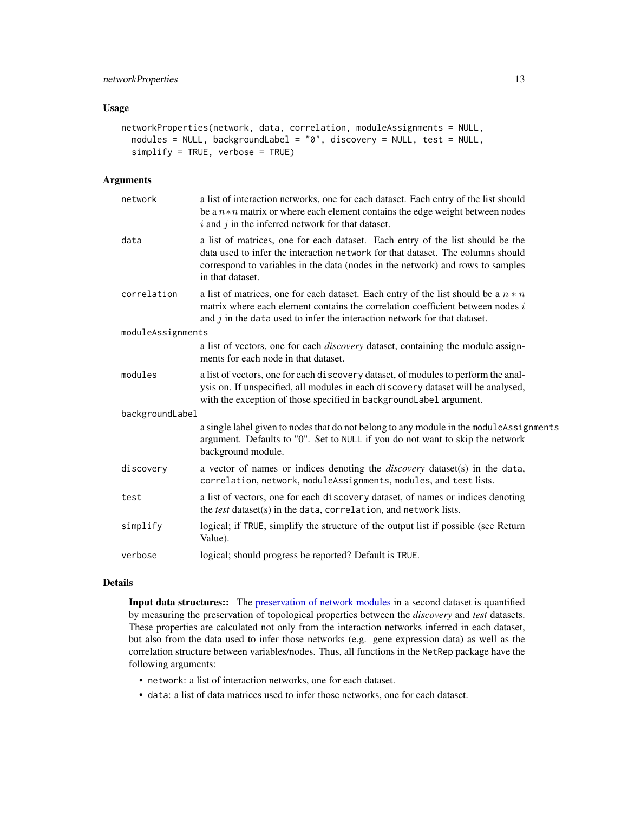### <span id="page-12-0"></span>networkProperties 13

#### Usage

```
networkProperties(network, data, correlation, moduleAssignments = NULL,
 modules = NULL, backgroundLabel = "0", discovery = NULL, test = NULL,
  simplify = TRUE, verbose = TRUE)
```
### Arguments

| network           | a list of interaction networks, one for each dataset. Each entry of the list should<br>be a $n * n$ matrix or where each element contains the edge weight between nodes<br>$i$ and $j$ in the inferred network for that dataset.                                        |
|-------------------|-------------------------------------------------------------------------------------------------------------------------------------------------------------------------------------------------------------------------------------------------------------------------|
| data              | a list of matrices, one for each dataset. Each entry of the list should be the<br>data used to infer the interaction network for that dataset. The columns should<br>correspond to variables in the data (nodes in the network) and rows to samples<br>in that dataset. |
| correlation       | a list of matrices, one for each dataset. Each entry of the list should be a $n * n$<br>matrix where each element contains the correlation coefficient between nodes i<br>and $j$ in the data used to infer the interaction network for that dataset.                   |
| moduleAssignments |                                                                                                                                                                                                                                                                         |
|                   | a list of vectors, one for each <i>discovery</i> dataset, containing the module assign-<br>ments for each node in that dataset.                                                                                                                                         |
| modules           | a list of vectors, one for each discovery dataset, of modules to perform the anal-<br>ysis on. If unspecified, all modules in each discovery dataset will be analysed,<br>with the exception of those specified in backgroundLabel argument.                            |
| backgroundLabel   |                                                                                                                                                                                                                                                                         |
|                   | a single label given to nodes that do not belong to any module in the moduleAssignments<br>argument. Defaults to "0". Set to NULL if you do not want to skip the network<br>background module.                                                                          |
| discovery         | a vector of names or indices denoting the <i>discovery</i> dataset(s) in the data,<br>correlation, network, moduleAssignments, modules, and test lists.                                                                                                                 |
| test              | a list of vectors, one for each discovery dataset, of names or indices denoting<br>the test dataset(s) in the data, correlation, and network lists.                                                                                                                     |
| simplify          | logical; if TRUE, simplify the structure of the output list if possible (see Return<br>Value).                                                                                                                                                                          |
| verbose           | logical; should progress be reported? Default is TRUE.                                                                                                                                                                                                                  |

#### Details

Input data structures:: The [preservation of network modules](#page-5-1) in a second dataset is quantified by measuring the preservation of topological properties between the *discovery* and *test* datasets. These properties are calculated not only from the interaction networks inferred in each dataset, but also from the data used to infer those networks (e.g. gene expression data) as well as the correlation structure between variables/nodes. Thus, all functions in the NetRep package have the following arguments:

- network: a list of interaction networks, one for each dataset.
- data: a list of data matrices used to infer those networks, one for each dataset.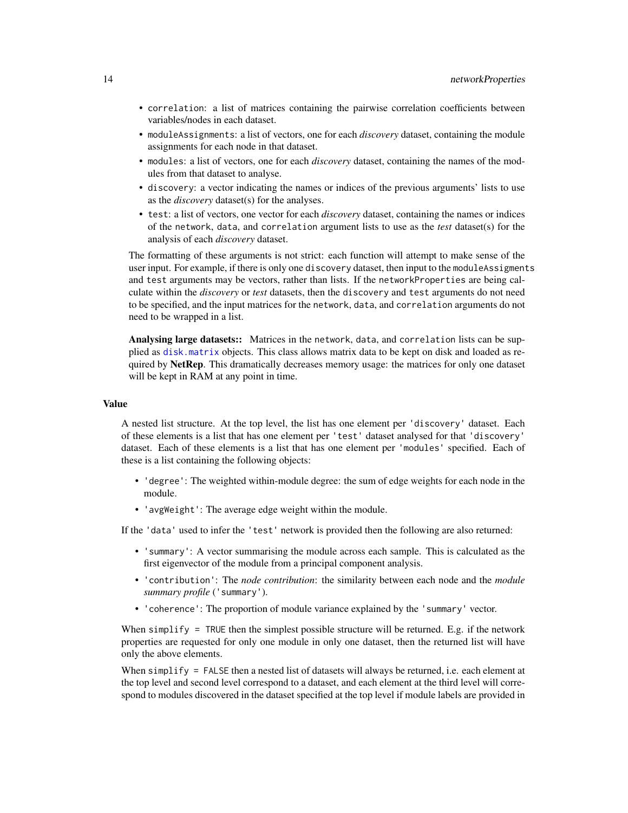- <span id="page-13-0"></span>• correlation: a list of matrices containing the pairwise correlation coefficients between variables/nodes in each dataset.
- moduleAssignments: a list of vectors, one for each *discovery* dataset, containing the module assignments for each node in that dataset.
- modules: a list of vectors, one for each *discovery* dataset, containing the names of the modules from that dataset to analyse.
- discovery: a vector indicating the names or indices of the previous arguments' lists to use as the *discovery* dataset(s) for the analyses.
- test: a list of vectors, one vector for each *discovery* dataset, containing the names or indices of the network, data, and correlation argument lists to use as the *test* dataset(s) for the analysis of each *discovery* dataset.

The formatting of these arguments is not strict: each function will attempt to make sense of the user input. For example, if there is only one discovery dataset, then input to the module Assigments and test arguments may be vectors, rather than lists. If the networkProperties are being calculate within the *discovery* or *test* datasets, then the discovery and test arguments do not need to be specified, and the input matrices for the network, data, and correlation arguments do not need to be wrapped in a list.

Analysing large datasets:: Matrices in the network, data, and correlation lists can be supplied as [disk.matrix](#page-1-1) objects. This class allows matrix data to be kept on disk and loaded as required by NetRep. This dramatically decreases memory usage: the matrices for only one dataset will be kept in RAM at any point in time.

#### Value

A nested list structure. At the top level, the list has one element per 'discovery' dataset. Each of these elements is a list that has one element per 'test' dataset analysed for that 'discovery' dataset. Each of these elements is a list that has one element per 'modules' specified. Each of these is a list containing the following objects:

- 'degree': The weighted within-module degree: the sum of edge weights for each node in the module.
- 'avgWeight': The average edge weight within the module.

If the 'data' used to infer the 'test' network is provided then the following are also returned:

- 'summary': A vector summarising the module across each sample. This is calculated as the first eigenvector of the module from a principal component analysis.
- 'contribution': The *node contribution*: the similarity between each node and the *module summary profile* ('summary').
- 'coherence': The proportion of module variance explained by the 'summary' vector.

When simplify  $=$  TRUE then the simplest possible structure will be returned. E.g. if the network properties are requested for only one module in only one dataset, then the returned list will have only the above elements.

When simplify = FALSE then a nested list of datasets will always be returned, i.e. each element at the top level and second level correspond to a dataset, and each element at the third level will correspond to modules discovered in the dataset specified at the top level if module labels are provided in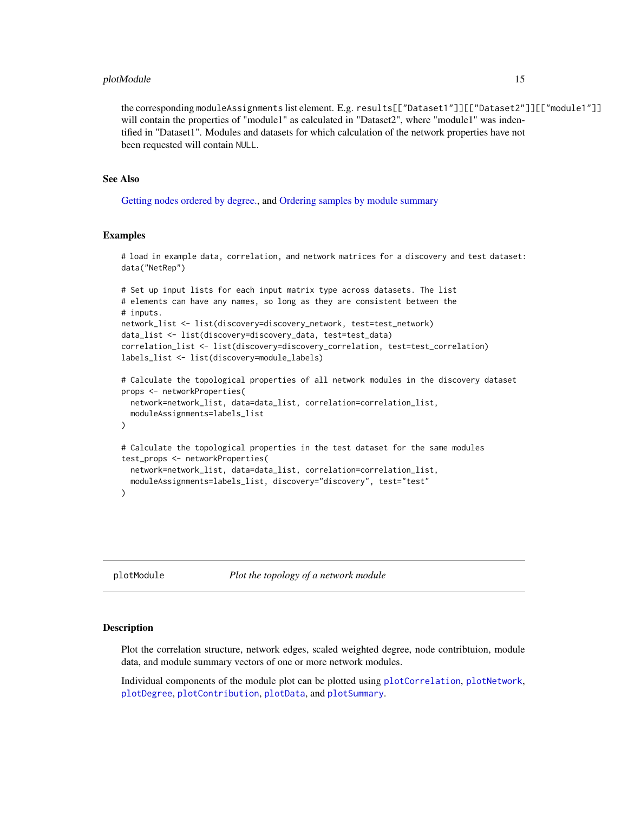#### <span id="page-14-0"></span>plotModule 15

the corresponding moduleAssignments list element. E.g. results[["Dataset1"]][["Dataset2"]][["module1"]] will contain the properties of "module1" as calculated in "Dataset2", where "module1" was indentified in "Dataset1". Modules and datasets for which calculation of the network properties have not been requested will contain NULL.

#### See Also

[Getting nodes ordered by degree.,](#page-0-0) and [Ordering samples by module summary](#page-0-0)

#### Examples

```
# load in example data, correlation, and network matrices for a discovery and test dataset:
data("NetRep")
# Set up input lists for each input matrix type across datasets. The list
# elements can have any names, so long as they are consistent between the
# inputs.
network_list <- list(discovery=discovery_network, test=test_network)
data_list <- list(discovery=discovery_data, test=test_data)
correlation_list <- list(discovery=discovery_correlation, test=test_correlation)
labels_list <- list(discovery=module_labels)
# Calculate the topological properties of all network modules in the discovery dataset
props <- networkProperties(
 network=network_list, data=data_list, correlation=correlation_list,
 moduleAssignments=labels_list
\lambda# Calculate the topological properties in the test dataset for the same modules
test_props <- networkProperties(
 network=network_list, data=data_list, correlation=correlation_list,
 moduleAssignments=labels_list, discovery="discovery", test="test"
)
```
<span id="page-14-1"></span>plotModule *Plot the topology of a network module*

#### **Description**

Plot the correlation structure, network edges, scaled weighted degree, node contribtuion, module data, and module summary vectors of one or more network modules.

Individual components of the module plot can be plotted using [plotCorrelation](#page-0-0), [plotNetwork](#page-0-0), [plotDegree](#page-0-0), [plotContribution](#page-0-0), [plotData](#page-0-0), and [plotSummary](#page-0-0).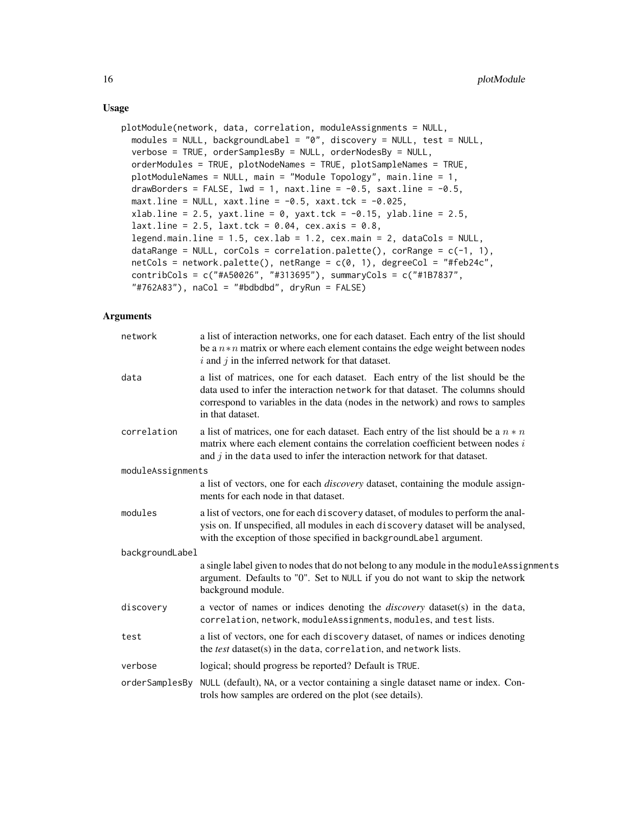```
plotModule(network, data, correlation, moduleAssignments = NULL,
 modules = NULL, backgroundLabel = "0", discovery = NULL, test = NULL,
 verbose = TRUE, orderSamplesBy = NULL, orderNodesBy = NULL,
 orderModules = TRUE, plotNodeNames = TRUE, plotSampleNames = TRUE,
 plotModuleNames = NULL, main = "Module Topology", main.line = 1,
  drawBorders = FALSE, lwd = 1, naxt.line = -0.5, saxt.line = -0.5,
 maxt.line = NULL, xaxt.line = -0.5, xaxt.tck = -0.025,
  xlab.line = 2.5, yaxt.line = 0, yaxt.tck = -0.15, ylab.line = 2.5,
  laxt.line = 2.5, last.tck = 0.04, cex.axis = 0.8,legend.main.line = 1.5, cex.lab = 1.2, cex.main = 2, dataCols = NULL,
  dataRange = NULL, corCols = correlation.palette(), corRange = c(-1, 1),
 netCols = network.palette(), netRange = c(0, 1), degreeCol = "#feb24c",
  contribCols = c("#A50026", "#313695"), summaryCols = c("#1B7837",
  "#762A83", naCol = "#bdbdbd", dryRun = FALSE)
```
### Arguments

| network           | a list of interaction networks, one for each dataset. Each entry of the list should<br>be a $n * n$ matrix or where each element contains the edge weight between nodes<br>$i$ and $j$ in the inferred network for that dataset.                                        |
|-------------------|-------------------------------------------------------------------------------------------------------------------------------------------------------------------------------------------------------------------------------------------------------------------------|
| data              | a list of matrices, one for each dataset. Each entry of the list should be the<br>data used to infer the interaction network for that dataset. The columns should<br>correspond to variables in the data (nodes in the network) and rows to samples<br>in that dataset. |
| correlation       | a list of matrices, one for each dataset. Each entry of the list should be a $n * n$<br>matrix where each element contains the correlation coefficient between nodes i<br>and $j$ in the data used to infer the interaction network for that dataset.                   |
| moduleAssignments |                                                                                                                                                                                                                                                                         |
|                   | a list of vectors, one for each <i>discovery</i> dataset, containing the module assign-<br>ments for each node in that dataset.                                                                                                                                         |
| modules           | a list of vectors, one for each discovery dataset, of modules to perform the anal-<br>ysis on. If unspecified, all modules in each discovery dataset will be analysed,<br>with the exception of those specified in backgroundLabel argument.                            |
| backgroundLabel   |                                                                                                                                                                                                                                                                         |
|                   | a single label given to nodes that do not belong to any module in the module Assignments<br>argument. Defaults to "0". Set to NULL if you do not want to skip the network<br>background module.                                                                         |
| discovery         | a vector of names or indices denoting the <i>discovery</i> dataset(s) in the data,<br>correlation, network, moduleAssignments, modules, and test lists.                                                                                                                 |
| test              | a list of vectors, one for each discovery dataset, of names or indices denoting<br>the test dataset(s) in the data, correlation, and network lists.                                                                                                                     |
| verbose           | logical; should progress be reported? Default is TRUE.                                                                                                                                                                                                                  |
| orderSamplesBy    | NULL (default), NA, or a vector containing a single dataset name or index. Con-<br>trols how samples are ordered on the plot (see details).                                                                                                                             |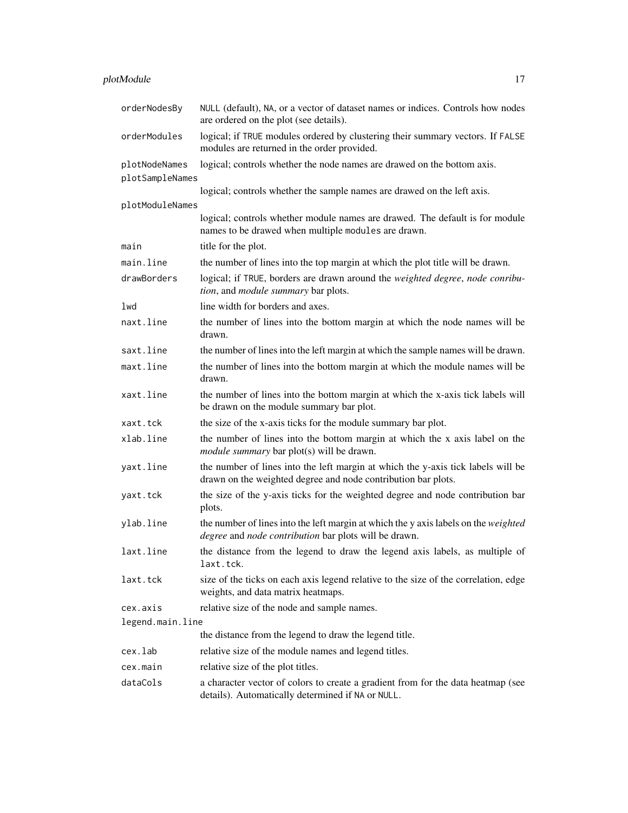### plotModule 17

| orderNodesBy                     | NULL (default), NA, or a vector of dataset names or indices. Controls how nodes<br>are ordered on the plot (see details).                           |
|----------------------------------|-----------------------------------------------------------------------------------------------------------------------------------------------------|
| orderModules                     | logical; if TRUE modules ordered by clustering their summary vectors. If FALSE<br>modules are returned in the order provided.                       |
| plotNodeNames<br>plotSampleNames | logical; controls whether the node names are drawed on the bottom axis.                                                                             |
|                                  | logical; controls whether the sample names are drawed on the left axis.                                                                             |
| plotModuleNames                  | logical; controls whether module names are drawed. The default is for module                                                                        |
|                                  | names to be drawed when multiple modules are drawn.                                                                                                 |
| main                             | title for the plot.                                                                                                                                 |
| main.line                        | the number of lines into the top margin at which the plot title will be drawn.                                                                      |
| drawBorders                      | logical; if TRUE, borders are drawn around the weighted degree, node conribu-<br>tion, and module summary bar plots.                                |
| lwd                              | line width for borders and axes.                                                                                                                    |
| naxt.line                        | the number of lines into the bottom margin at which the node names will be<br>drawn.                                                                |
| saxt.line                        | the number of lines into the left margin at which the sample names will be drawn.                                                                   |
| maxt.line                        | the number of lines into the bottom margin at which the module names will be<br>drawn.                                                              |
| xaxt.line                        | the number of lines into the bottom margin at which the x-axis tick labels will<br>be drawn on the module summary bar plot.                         |
| xaxt.tck                         | the size of the x-axis ticks for the module summary bar plot.                                                                                       |
| xlab.line                        | the number of lines into the bottom margin at which the x axis label on the<br><i>module summary</i> bar plot(s) will be drawn.                     |
| yaxt.line                        | the number of lines into the left margin at which the y-axis tick labels will be<br>drawn on the weighted degree and node contribution bar plots.   |
| yaxt.tck                         | the size of the y-axis ticks for the weighted degree and node contribution bar<br>plots.                                                            |
| ylab.line                        | the number of lines into the left margin at which the y axis labels on the <i>weighted</i><br>degree and node contribution bar plots will be drawn. |
| laxt.line                        | the distance from the legend to draw the legend axis labels, as multiple of<br>laxt.tck.                                                            |
| laxt.tck                         | size of the ticks on each axis legend relative to the size of the correlation, edge<br>weights, and data matrix heatmaps.                           |
| cex.axis                         | relative size of the node and sample names.                                                                                                         |
| legend.main.line                 |                                                                                                                                                     |
|                                  | the distance from the legend to draw the legend title.                                                                                              |
| cex.lab                          | relative size of the module names and legend titles.                                                                                                |
| cex.main                         | relative size of the plot titles.                                                                                                                   |
| dataCols                         | a character vector of colors to create a gradient from for the data heatmap (see<br>details). Automatically determined if NA or NULL.               |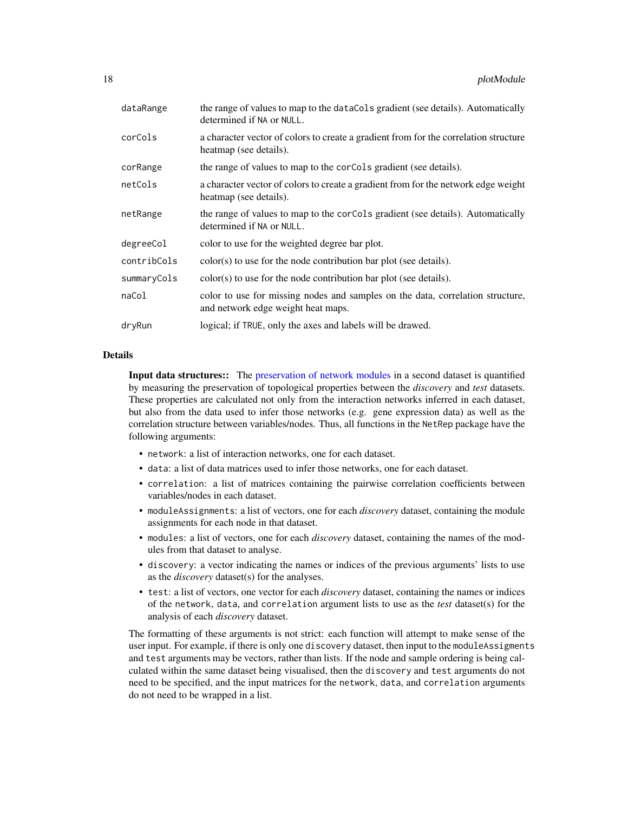<span id="page-17-0"></span>

| dataRange   | the range of values to map to the dataCols gradient (see details). Automatically<br>determined if NA or NULL.        |
|-------------|----------------------------------------------------------------------------------------------------------------------|
| corCols     | a character vector of colors to create a gradient from for the correlation structure<br>heatmap (see details).       |
| corRange    | the range of values to map to the corcols gradient (see details).                                                    |
| netCols     | a character vector of colors to create a gradient from for the network edge weight<br>heatmap (see details).         |
| netRange    | the range of values to map to the corcols gradient (see details). Automatically<br>determined if NA or NULL.         |
| degreeCol   | color to use for the weighted degree bar plot.                                                                       |
| contribCols | $color(s)$ to use for the node contribution bar plot (see details).                                                  |
| summaryCols | $color(s)$ to use for the node contribution bar plot (see details).                                                  |
| naCol       | color to use for missing nodes and samples on the data, correlation structure,<br>and network edge weight heat maps. |
| dryRun      | logical; if TRUE, only the axes and labels will be drawed.                                                           |
|             |                                                                                                                      |

#### Details

Input data structures:: The [preservation of network modules](#page-5-1) in a second dataset is quantified by measuring the preservation of topological properties between the *discovery* and *test* datasets. These properties are calculated not only from the interaction networks inferred in each dataset, but also from the data used to infer those networks (e.g. gene expression data) as well as the correlation structure between variables/nodes. Thus, all functions in the NetRep package have the following arguments:

- network: a list of interaction networks, one for each dataset.
- data: a list of data matrices used to infer those networks, one for each dataset.
- correlation: a list of matrices containing the pairwise correlation coefficients between variables/nodes in each dataset.
- moduleAssignments: a list of vectors, one for each *discovery* dataset, containing the module assignments for each node in that dataset.
- modules: a list of vectors, one for each *discovery* dataset, containing the names of the modules from that dataset to analyse.
- discovery: a vector indicating the names or indices of the previous arguments' lists to use as the *discovery* dataset(s) for the analyses.
- test: a list of vectors, one vector for each *discovery* dataset, containing the names or indices of the network, data, and correlation argument lists to use as the *test* dataset(s) for the analysis of each *discovery* dataset.

The formatting of these arguments is not strict: each function will attempt to make sense of the user input. For example, if there is only one discovery dataset, then input to the moduleAssigments and test arguments may be vectors, rather than lists. If the node and sample ordering is being calculated within the same dataset being visualised, then the discovery and test arguments do not need to be specified, and the input matrices for the network, data, and correlation arguments do not need to be wrapped in a list.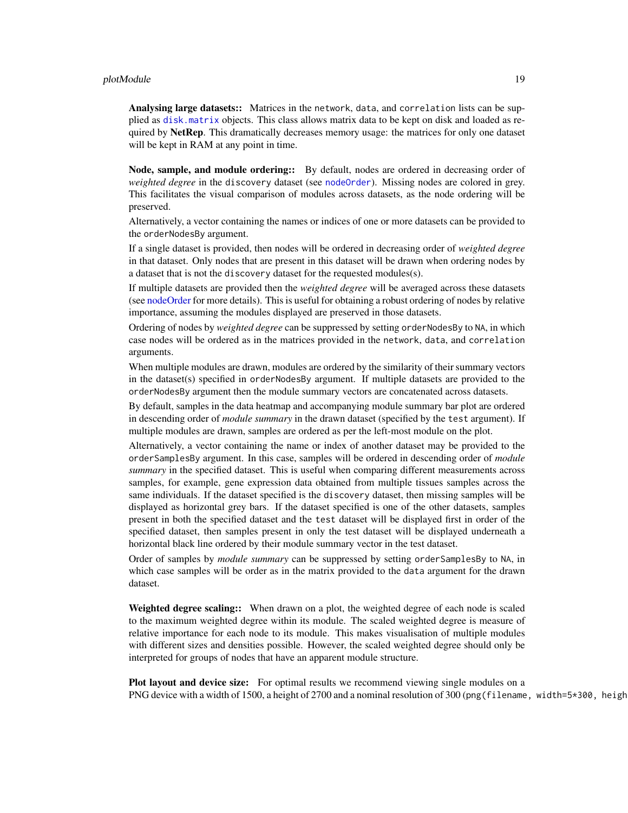#### <span id="page-18-0"></span>plotModule 2008 and 2008 and 2008 and 2008 and 2008 and 2008 and 2008 and 2008 and 2008 and 2008 and 2008 and 20

Analysing large datasets:: Matrices in the network, data, and correlation lists can be supplied as [disk.matrix](#page-1-1) objects. This class allows matrix data to be kept on disk and loaded as required by NetRep. This dramatically decreases memory usage: the matrices for only one dataset will be kept in RAM at any point in time.

Node, sample, and module ordering:: By default, nodes are ordered in decreasing order of *weighted degree* in the discovery dataset (see [nodeOrder](#page-0-0)). Missing nodes are colored in grey. This facilitates the visual comparison of modules across datasets, as the node ordering will be preserved.

Alternatively, a vector containing the names or indices of one or more datasets can be provided to the orderNodesBy argument.

If a single dataset is provided, then nodes will be ordered in decreasing order of *weighted degree* in that dataset. Only nodes that are present in this dataset will be drawn when ordering nodes by a dataset that is not the discovery dataset for the requested modules(s).

If multiple datasets are provided then the *weighted degree* will be averaged across these datasets (see [nodeOrder](#page-0-0) for more details). This is useful for obtaining a robust ordering of nodes by relative importance, assuming the modules displayed are preserved in those datasets.

Ordering of nodes by *weighted degree* can be suppressed by setting orderNodesBy to NA, in which case nodes will be ordered as in the matrices provided in the network, data, and correlation arguments.

When multiple modules are drawn, modules are ordered by the similarity of their summary vectors in the dataset(s) specified in orderNodesBy argument. If multiple datasets are provided to the orderNodesBy argument then the module summary vectors are concatenated across datasets.

By default, samples in the data heatmap and accompanying module summary bar plot are ordered in descending order of *module summary* in the drawn dataset (specified by the test argument). If multiple modules are drawn, samples are ordered as per the left-most module on the plot.

Alternatively, a vector containing the name or index of another dataset may be provided to the orderSamplesBy argument. In this case, samples will be ordered in descending order of *module summary* in the specified dataset. This is useful when comparing different measurements across samples, for example, gene expression data obtained from multiple tissues samples across the same individuals. If the dataset specified is the discovery dataset, then missing samples will be displayed as horizontal grey bars. If the dataset specified is one of the other datasets, samples present in both the specified dataset and the test dataset will be displayed first in order of the specified dataset, then samples present in only the test dataset will be displayed underneath a horizontal black line ordered by their module summary vector in the test dataset.

Order of samples by *module summary* can be suppressed by setting orderSamplesBy to NA, in which case samples will be order as in the matrix provided to the data argument for the drawn dataset.

Weighted degree scaling:: When drawn on a plot, the weighted degree of each node is scaled to the maximum weighted degree within its module. The scaled weighted degree is measure of relative importance for each node to its module. This makes visualisation of multiple modules with different sizes and densities possible. However, the scaled weighted degree should only be interpreted for groups of nodes that have an apparent module structure.

Plot layout and device size: For optimal results we recommend viewing single modules on a PNG device with a width of 1500, a height of 2700 and a nominal resolution of 300 (png (filename, width=5\*300, height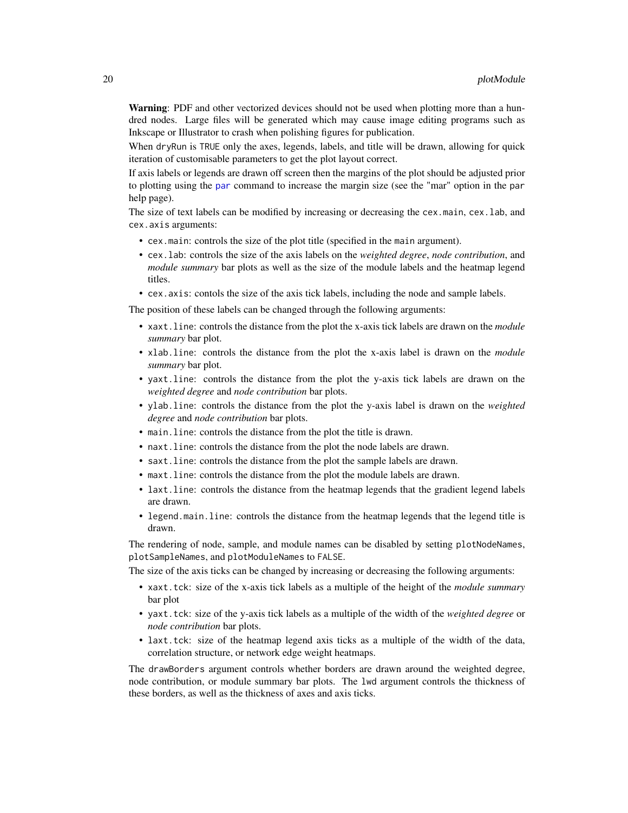<span id="page-19-0"></span>Warning: PDF and other vectorized devices should not be used when plotting more than a hundred nodes. Large files will be generated which may cause image editing programs such as Inkscape or Illustrator to crash when polishing figures for publication.

When dryRun is TRUE only the axes, legends, labels, and title will be drawn, allowing for quick iteration of customisable parameters to get the plot layout correct.

If axis labels or legends are drawn off screen then the margins of the plot should be adjusted prior to plotting using the [par](#page-0-0) command to increase the margin size (see the "mar" option in the par help page).

The size of text labels can be modified by increasing or decreasing the cex.main, cex.lab, and cex.axis arguments:

- cex.main: controls the size of the plot title (specified in the main argument).
- cex.lab: controls the size of the axis labels on the *weighted degree*, *node contribution*, and *module summary* bar plots as well as the size of the module labels and the heatmap legend titles.
- cex.axis: contols the size of the axis tick labels, including the node and sample labels.

The position of these labels can be changed through the following arguments:

- xaxt.line: controls the distance from the plot the x-axis tick labels are drawn on the *module summary* bar plot.
- xlab.line: controls the distance from the plot the x-axis label is drawn on the *module summary* bar plot.
- yaxt.line: controls the distance from the plot the y-axis tick labels are drawn on the *weighted degree* and *node contribution* bar plots.
- ylab.line: controls the distance from the plot the y-axis label is drawn on the *weighted degree* and *node contribution* bar plots.
- main.line: controls the distance from the plot the title is drawn.
- naxt.line: controls the distance from the plot the node labels are drawn.
- saxt.line: controls the distance from the plot the sample labels are drawn.
- maxt.line: controls the distance from the plot the module labels are drawn.
- laxt.line: controls the distance from the heatmap legends that the gradient legend labels are drawn.
- legend.main.line: controls the distance from the heatmap legends that the legend title is drawn.

The rendering of node, sample, and module names can be disabled by setting plotNodeNames, plotSampleNames, and plotModuleNames to FALSE.

The size of the axis ticks can be changed by increasing or decreasing the following arguments:

- xaxt.tck: size of the x-axis tick labels as a multiple of the height of the *module summary* bar plot
- yaxt.tck: size of the y-axis tick labels as a multiple of the width of the *weighted degree* or *node contribution* bar plots.
- laxt.tck: size of the heatmap legend axis ticks as a multiple of the width of the data, correlation structure, or network edge weight heatmaps.

The drawBorders argument controls whether borders are drawn around the weighted degree, node contribution, or module summary bar plots. The lwd argument controls the thickness of these borders, as well as the thickness of axes and axis ticks.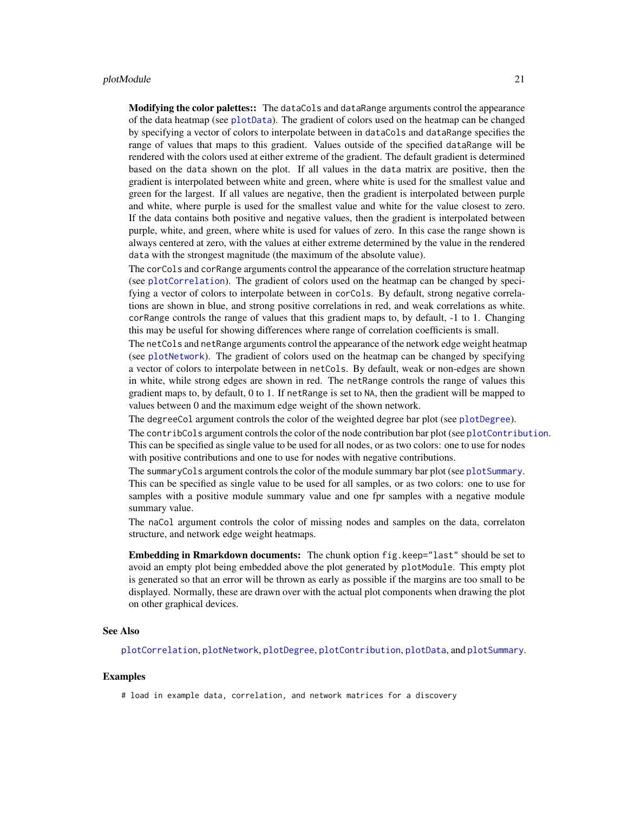<span id="page-20-0"></span>Modifying the color palettes:: The dataCols and dataRange arguments control the appearance of the data heatmap (see [plotData](#page-0-0)). The gradient of colors used on the heatmap can be changed by specifying a vector of colors to interpolate between in dataCols and dataRange specifies the range of values that maps to this gradient. Values outside of the specified dataRange will be rendered with the colors used at either extreme of the gradient. The default gradient is determined based on the data shown on the plot. If all values in the data matrix are positive, then the gradient is interpolated between white and green, where white is used for the smallest value and green for the largest. If all values are negative, then the gradient is interpolated between purple and white, where purple is used for the smallest value and white for the value closest to zero. If the data contains both positive and negative values, then the gradient is interpolated between purple, white, and green, where white is used for values of zero. In this case the range shown is always centered at zero, with the values at either extreme determined by the value in the rendered data with the strongest magnitude (the maximum of the absolute value).

The corCols and corRange arguments control the appearance of the correlation structure heatmap (see [plotCorrelation](#page-0-0)). The gradient of colors used on the heatmap can be changed by specifying a vector of colors to interpolate between in corCols. By default, strong negative correlations are shown in blue, and strong positive correlations in red, and weak correlations as white. corRange controls the range of values that this gradient maps to, by default, -1 to 1. Changing this may be useful for showing differences where range of correlation coefficients is small.

The netCols and netRange arguments control the appearance of the network edge weight heatmap (see [plotNetwork](#page-0-0)). The gradient of colors used on the heatmap can be changed by specifying a vector of colors to interpolate between in netCols. By default, weak or non-edges are shown in white, while strong edges are shown in red. The netRange controls the range of values this gradient maps to, by default, 0 to 1. If netRange is set to NA, then the gradient will be mapped to values between 0 and the maximum edge weight of the shown network.

The degreeCol argument controls the color of the weighted degree bar plot (see [plotDegree](#page-0-0)).

The contribCols argument controls the color of the node contribution bar plot (see [plotContribution](#page-0-0). This can be specified as single value to be used for all nodes, or as two colors: one to use for nodes with positive contributions and one to use for nodes with negative contributions.

The summaryCols argument controls the color of the module summary bar plot (see [plotSummary](#page-0-0). This can be specified as single value to be used for all samples, or as two colors: one to use for samples with a positive module summary value and one fpr samples with a negative module summary value.

The naCol argument controls the color of missing nodes and samples on the data, correlaton structure, and network edge weight heatmaps.

Embedding in Rmarkdown documents: The chunk option fig.keep="last" should be set to avoid an empty plot being embedded above the plot generated by plotModule. This empty plot is generated so that an error will be thrown as early as possible if the margins are too small to be displayed. Normally, these are drawn over with the actual plot components when drawing the plot on other graphical devices.

#### See Also

[plotCorrelation](#page-0-0), [plotNetwork](#page-0-0), [plotDegree](#page-0-0), [plotContribution](#page-0-0), [plotData](#page-0-0), and [plotSummary](#page-0-0).

#### Examples

# load in example data, correlation, and network matrices for a discovery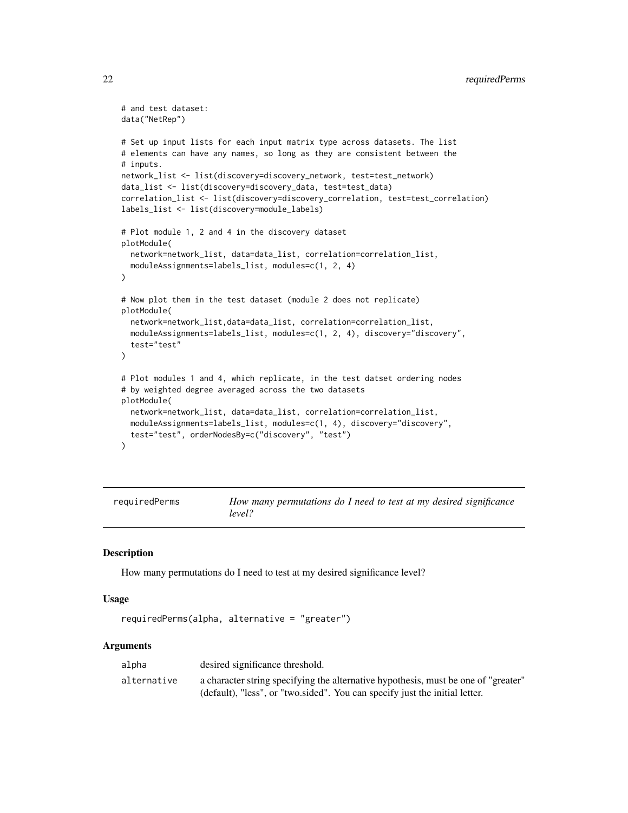```
# and test dataset:
data("NetRep")
# Set up input lists for each input matrix type across datasets. The list
# elements can have any names, so long as they are consistent between the
# inputs.
network_list <- list(discovery=discovery_network, test=test_network)
data_list <- list(discovery=discovery_data, test=test_data)
correlation_list <- list(discovery=discovery_correlation, test=test_correlation)
labels_list <- list(discovery=module_labels)
# Plot module 1, 2 and 4 in the discovery dataset
plotModule(
 network=network_list, data=data_list, correlation=correlation_list,
 moduleAssignments=labels_list, modules=c(1, 2, 4)
)
# Now plot them in the test dataset (module 2 does not replicate)
plotModule(
 network=network_list,data=data_list, correlation=correlation_list,
 moduleAssignments=labels_list, modules=c(1, 2, 4), discovery="discovery",
 test="test"
\mathcal{L}# Plot modules 1 and 4, which replicate, in the test datset ordering nodes
# by weighted degree averaged across the two datasets
plotModule(
 network=network_list, data=data_list, correlation=correlation_list,
 moduleAssignments=labels_list, modules=c(1, 4), discovery="discovery",
 test="test", orderNodesBy=c("discovery", "test")
)
```
<span id="page-21-1"></span>requiredPerms *How many permutations do I need to test at my desired significance level?*

#### **Description**

How many permutations do I need to test at my desired significance level?

#### Usage

```
requiredPerms(alpha, alternative = "greater")
```
#### Arguments

| alpha       | desired significance threshold.                                                                                                                                   |
|-------------|-------------------------------------------------------------------------------------------------------------------------------------------------------------------|
| alternative | a character string specifying the alternative hypothesis, must be one of "greater"<br>(default), "less", or "two sided". You can specify just the initial letter. |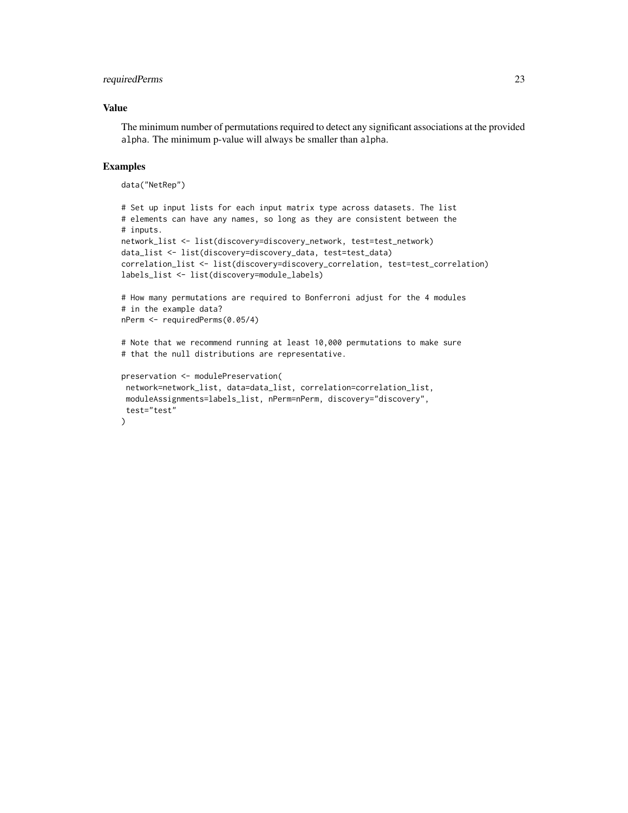### requiredPerms 23

#### Value

The minimum number of permutations required to detect any significant associations at the provided alpha. The minimum p-value will always be smaller than alpha.

#### Examples

data("NetRep")

```
# Set up input lists for each input matrix type across datasets. The list
# elements can have any names, so long as they are consistent between the
# inputs.
network_list <- list(discovery=discovery_network, test=test_network)
data_list <- list(discovery=discovery_data, test=test_data)
correlation_list <- list(discovery=discovery_correlation, test=test_correlation)
labels_list <- list(discovery=module_labels)
# How many permutations are required to Bonferroni adjust for the 4 modules
# in the example data?
nPerm <- requiredPerms(0.05/4)
# Note that we recommend running at least 10,000 permutations to make sure
# that the null distributions are representative.
preservation <- modulePreservation(
 network=network_list, data=data_list, correlation=correlation_list,
 moduleAssignments=labels_list, nPerm=nPerm, discovery="discovery",
 test="test"
```

```
)
```